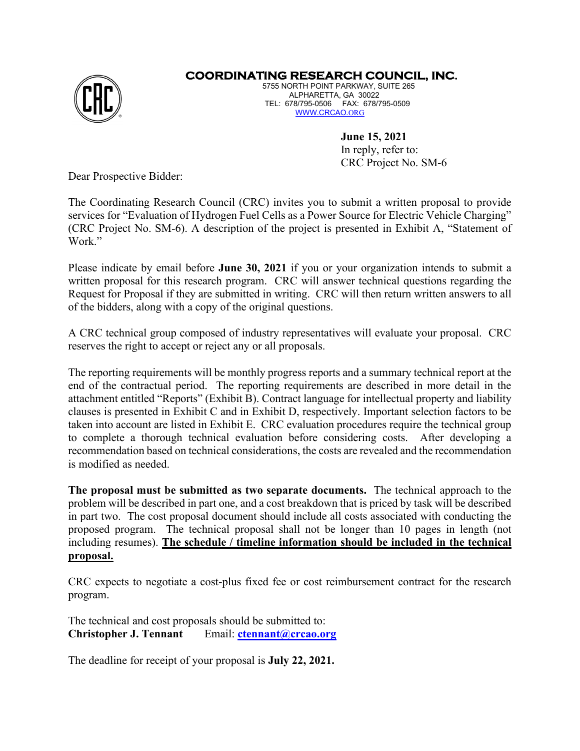

## **COORDINATING RESEARCH COUNCIL, INC.**

5755 NORTH POINT PARKWAY, SUITE 265 ALPHARETTA, GA 30022 TEL: 678/795-0506 FAX: 678/795-0509 [WWW.CRCAO.](http://www.crcao.org/)[ORG](http://www.crcao.org/)

> **June 15, 2021** In reply, refer to: CRC Project No. SM-6

Dear Prospective Bidder:

The Coordinating Research Council (CRC) invites you to submit a written proposal to provide services for "Evaluation of Hydrogen Fuel Cells as a Power Source for Electric Vehicle Charging" (CRC Project No. SM-6). A description of the project is presented in Exhibit A, "Statement of Work."

Please indicate by email before **June 30, 2021** if you or your organization intends to submit a written proposal for this research program. CRC will answer technical questions regarding the Request for Proposal if they are submitted in writing. CRC will then return written answers to all of the bidders, along with a copy of the original questions.

A CRC technical group composed of industry representatives will evaluate your proposal. CRC reserves the right to accept or reject any or all proposals.

The reporting requirements will be monthly progress reports and a summary technical report at the end of the contractual period. The reporting requirements are described in more detail in the attachment entitled "Reports" (Exhibit B). Contract language for intellectual property and liability clauses is presented in Exhibit C and in Exhibit D, respectively. Important selection factors to be taken into account are listed in Exhibit E. CRC evaluation procedures require the technical group to complete a thorough technical evaluation before considering costs. After developing a recommendation based on technical considerations, the costs are revealed and the recommendation is modified as needed.

**The proposal must be submitted as two separate documents.** The technical approach to the problem will be described in part one, and a cost breakdown that is priced by task will be described in part two. The cost proposal document should include all costs associated with conducting the proposed program. The technical proposal shall not be longer than 10 pages in length (not including resumes). **The schedule / timeline information should be included in the technical proposal.** 

CRC expects to negotiate a cost-plus fixed fee or cost reimbursement contract for the research program.

The technical and cost proposals should be submitted to: **Christopher J. Tennant** Email: **ctennant** *a*)**crcao.org** 

The deadline for receipt of your proposal is **July 22, 2021.**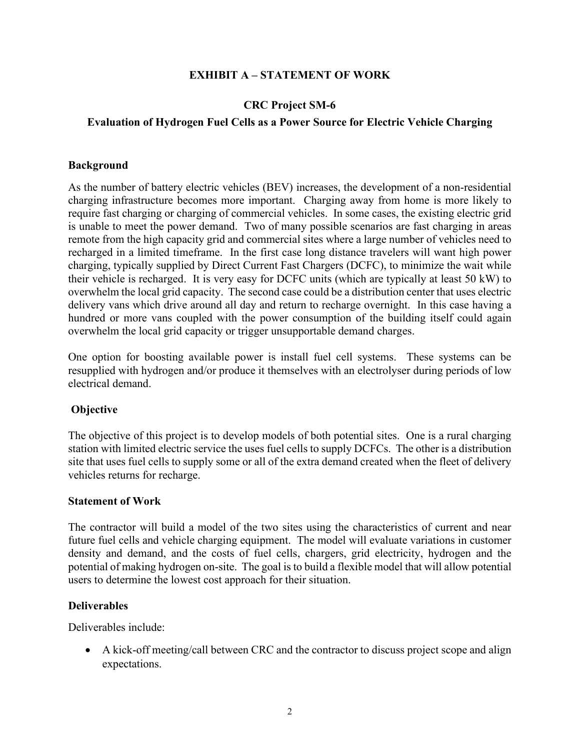### **EXHIBIT A – STATEMENT OF WORK**

# **CRC Project SM-6**

### **Evaluation of Hydrogen Fuel Cells as a Power Source for Electric Vehicle Charging**

### **Background**

As the number of battery electric vehicles (BEV) increases, the development of a non-residential charging infrastructure becomes more important. Charging away from home is more likely to require fast charging or charging of commercial vehicles. In some cases, the existing electric grid is unable to meet the power demand. Two of many possible scenarios are fast charging in areas remote from the high capacity grid and commercial sites where a large number of vehicles need to recharged in a limited timeframe. In the first case long distance travelers will want high power charging, typically supplied by Direct Current Fast Chargers (DCFC), to minimize the wait while their vehicle is recharged. It is very easy for DCFC units (which are typically at least 50 kW) to overwhelm the local grid capacity. The second case could be a distribution center that uses electric delivery vans which drive around all day and return to recharge overnight. In this case having a hundred or more vans coupled with the power consumption of the building itself could again overwhelm the local grid capacity or trigger unsupportable demand charges.

One option for boosting available power is install fuel cell systems. These systems can be resupplied with hydrogen and/or produce it themselves with an electrolyser during periods of low electrical demand.

## **Objective**

The objective of this project is to develop models of both potential sites. One is a rural charging station with limited electric service the uses fuel cells to supply DCFCs. The other is a distribution site that uses fuel cells to supply some or all of the extra demand created when the fleet of delivery vehicles returns for recharge.

### **Statement of Work**

The contractor will build a model of the two sites using the characteristics of current and near future fuel cells and vehicle charging equipment. The model will evaluate variations in customer density and demand, and the costs of fuel cells, chargers, grid electricity, hydrogen and the potential of making hydrogen on-site. The goal is to build a flexible model that will allow potential users to determine the lowest cost approach for their situation.

### **Deliverables**

Deliverables include:

• A kick-off meeting/call between CRC and the contractor to discuss project scope and align expectations.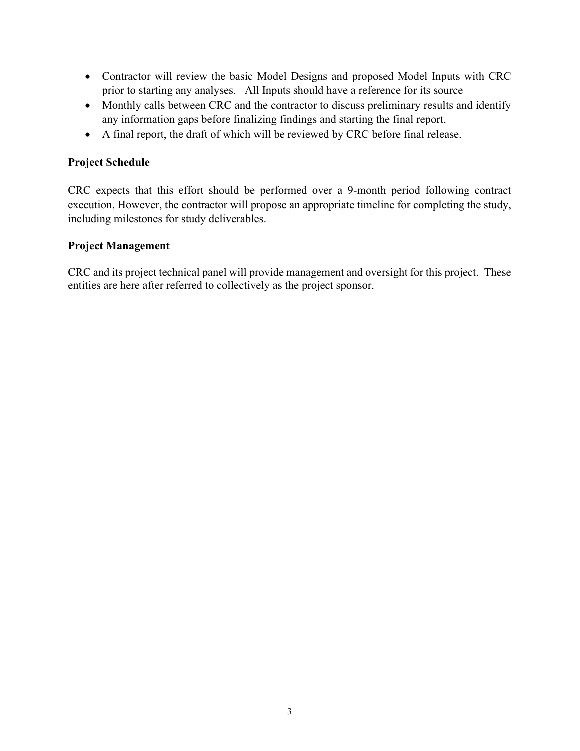- Contractor will review the basic Model Designs and proposed Model Inputs with CRC prior to starting any analyses. All Inputs should have a reference for its source
- Monthly calls between CRC and the contractor to discuss preliminary results and identify any information gaps before finalizing findings and starting the final report.
- A final report, the draft of which will be reviewed by CRC before final release.

# **Project Schedule**

CRC expects that this effort should be performed over a 9-month period following contract execution. However, the contractor will propose an appropriate timeline for completing the study, including milestones for study deliverables.

## **Project Management**

CRC and its project technical panel will provide management and oversight for this project. These entities are here after referred to collectively as the project sponsor.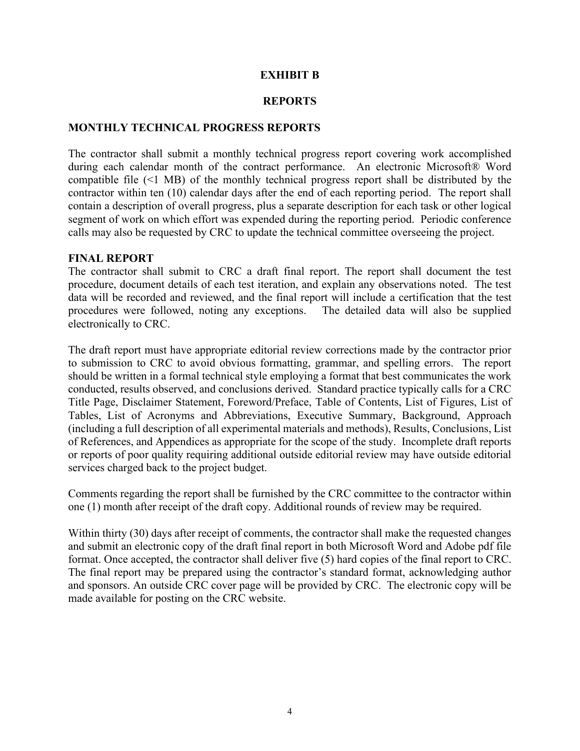### **EXHIBIT B**

#### **REPORTS**

#### **MONTHLY TECHNICAL PROGRESS REPORTS**

The contractor shall submit a monthly technical progress report covering work accomplished during each calendar month of the contract performance. An electronic Microsoft® Word compatible file (<1 MB) of the monthly technical progress report shall be distributed by the contractor within ten (10) calendar days after the end of each reporting period. The report shall contain a description of overall progress, plus a separate description for each task or other logical segment of work on which effort was expended during the reporting period. Periodic conference calls may also be requested by CRC to update the technical committee overseeing the project.

#### **FINAL REPORT**

The contractor shall submit to CRC a draft final report. The report shall document the test procedure, document details of each test iteration, and explain any observations noted. The test data will be recorded and reviewed, and the final report will include a certification that the test procedures were followed, noting any exceptions. The detailed data will also be supplied electronically to CRC.

The draft report must have appropriate editorial review corrections made by the contractor prior to submission to CRC to avoid obvious formatting, grammar, and spelling errors. The report should be written in a formal technical style employing a format that best communicates the work conducted, results observed, and conclusions derived. Standard practice typically calls for a CRC Title Page, Disclaimer Statement, Foreword/Preface, Table of Contents, List of Figures, List of Tables, List of Acronyms and Abbreviations, Executive Summary, Background, Approach (including a full description of all experimental materials and methods), Results, Conclusions, List of References, and Appendices as appropriate for the scope of the study. Incomplete draft reports or reports of poor quality requiring additional outside editorial review may have outside editorial services charged back to the project budget.

Comments regarding the report shall be furnished by the CRC committee to the contractor within one (1) month after receipt of the draft copy. Additional rounds of review may be required.

Within thirty (30) days after receipt of comments, the contractor shall make the requested changes and submit an electronic copy of the draft final report in both Microsoft Word and Adobe pdf file format. Once accepted, the contractor shall deliver five (5) hard copies of the final report to CRC. The final report may be prepared using the contractor's standard format, acknowledging author and sponsors. An outside CRC cover page will be provided by CRC. The electronic copy will be made available for posting on the CRC website.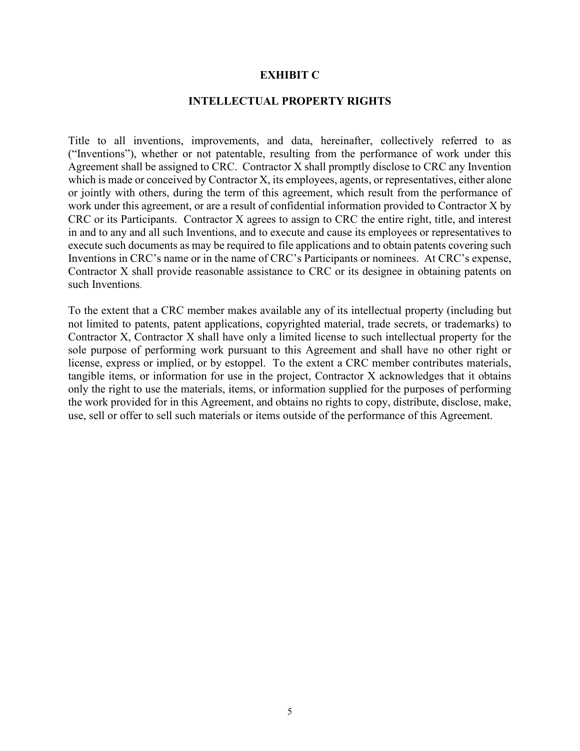#### **EXHIBIT C**

### **INTELLECTUAL PROPERTY RIGHTS**

Title to all inventions, improvements, and data, hereinafter, collectively referred to as ("Inventions"), whether or not patentable, resulting from the performance of work under this Agreement shall be assigned to CRC. Contractor X shall promptly disclose to CRC any Invention which is made or conceived by Contractor X, its employees, agents, or representatives, either alone or jointly with others, during the term of this agreement, which result from the performance of work under this agreement, or are a result of confidential information provided to Contractor X by CRC or its Participants. Contractor X agrees to assign to CRC the entire right, title, and interest in and to any and all such Inventions, and to execute and cause its employees or representatives to execute such documents as may be required to file applications and to obtain patents covering such Inventions in CRC's name or in the name of CRC's Participants or nominees. At CRC's expense, Contractor X shall provide reasonable assistance to CRC or its designee in obtaining patents on such Inventions.

To the extent that a CRC member makes available any of its intellectual property (including but not limited to patents, patent applications, copyrighted material, trade secrets, or trademarks) to Contractor X, Contractor X shall have only a limited license to such intellectual property for the sole purpose of performing work pursuant to this Agreement and shall have no other right or license, express or implied, or by estoppel. To the extent a CRC member contributes materials, tangible items, or information for use in the project, Contractor X acknowledges that it obtains only the right to use the materials, items, or information supplied for the purposes of performing the work provided for in this Agreement, and obtains no rights to copy, distribute, disclose, make, use, sell or offer to sell such materials or items outside of the performance of this Agreement.